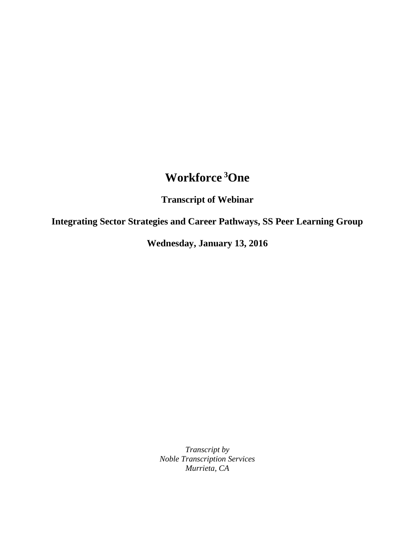## **Workforce <sup>3</sup>One**

**Transcript of Webinar**

**Integrating Sector Strategies and Career Pathways, SS Peer Learning Group**

**Wednesday, January 13, 2016**

*Transcript by Noble Transcription Services Murrieta, CA*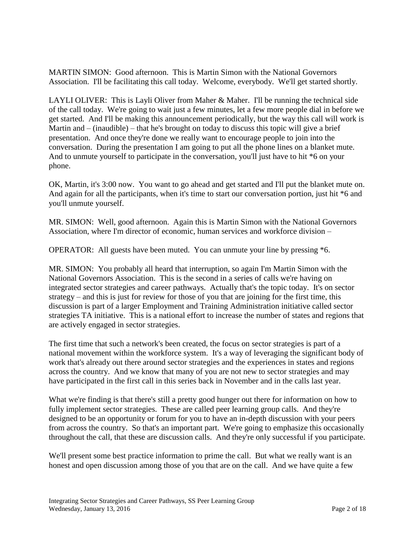MARTIN SIMON: Good afternoon. This is Martin Simon with the National Governors Association. I'll be facilitating this call today. Welcome, everybody. We'll get started shortly.

LAYLI OLIVER: This is Layli Oliver from Maher & Maher. I'll be running the technical side of the call today. We're going to wait just a few minutes, let a few more people dial in before we get started. And I'll be making this announcement periodically, but the way this call will work is Martin and – (inaudible) – that he's brought on today to discuss this topic will give a brief presentation. And once they're done we really want to encourage people to join into the conversation. During the presentation I am going to put all the phone lines on a blanket mute. And to unmute yourself to participate in the conversation, you'll just have to hit \*6 on your phone.

OK, Martin, it's 3:00 now. You want to go ahead and get started and I'll put the blanket mute on. And again for all the participants, when it's time to start our conversation portion, just hit \*6 and you'll unmute yourself.

MR. SIMON: Well, good afternoon. Again this is Martin Simon with the National Governors Association, where I'm director of economic, human services and workforce division –

OPERATOR: All guests have been muted. You can unmute your line by pressing \*6.

MR. SIMON: You probably all heard that interruption, so again I'm Martin Simon with the National Governors Association. This is the second in a series of calls we're having on integrated sector strategies and career pathways. Actually that's the topic today. It's on sector strategy – and this is just for review for those of you that are joining for the first time, this discussion is part of a larger Employment and Training Administration initiative called sector strategies TA initiative. This is a national effort to increase the number of states and regions that are actively engaged in sector strategies.

The first time that such a network's been created, the focus on sector strategies is part of a national movement within the workforce system. It's a way of leveraging the significant body of work that's already out there around sector strategies and the experiences in states and regions across the country. And we know that many of you are not new to sector strategies and may have participated in the first call in this series back in November and in the calls last year.

What we're finding is that there's still a pretty good hunger out there for information on how to fully implement sector strategies. These are called peer learning group calls. And they're designed to be an opportunity or forum for you to have an in-depth discussion with your peers from across the country. So that's an important part. We're going to emphasize this occasionally throughout the call, that these are discussion calls. And they're only successful if you participate.

We'll present some best practice information to prime the call. But what we really want is an honest and open discussion among those of you that are on the call. And we have quite a few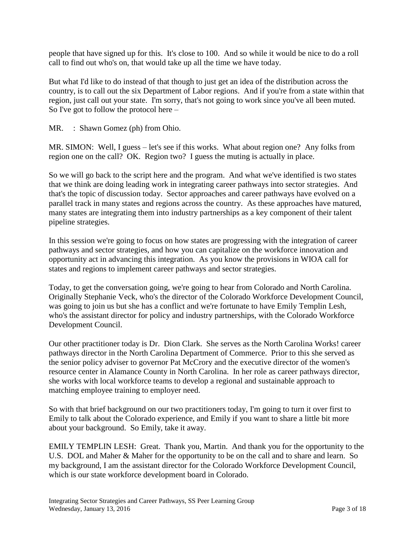people that have signed up for this. It's close to 100. And so while it would be nice to do a roll call to find out who's on, that would take up all the time we have today.

But what I'd like to do instead of that though to just get an idea of the distribution across the country, is to call out the six Department of Labor regions. And if you're from a state within that region, just call out your state. I'm sorry, that's not going to work since you've all been muted. So I've got to follow the protocol here –

MR. : Shawn Gomez (ph) from Ohio.

MR. SIMON: Well, I guess – let's see if this works. What about region one? Any folks from region one on the call? OK. Region two? I guess the muting is actually in place.

So we will go back to the script here and the program. And what we've identified is two states that we think are doing leading work in integrating career pathways into sector strategies. And that's the topic of discussion today. Sector approaches and career pathways have evolved on a parallel track in many states and regions across the country. As these approaches have matured, many states are integrating them into industry partnerships as a key component of their talent pipeline strategies.

In this session we're going to focus on how states are progressing with the integration of career pathways and sector strategies, and how you can capitalize on the workforce innovation and opportunity act in advancing this integration. As you know the provisions in WIOA call for states and regions to implement career pathways and sector strategies.

Today, to get the conversation going, we're going to hear from Colorado and North Carolina. Originally Stephanie Veck, who's the director of the Colorado Workforce Development Council, was going to join us but she has a conflict and we're fortunate to have Emily Templin Lesh, who's the assistant director for policy and industry partnerships, with the Colorado Workforce Development Council.

Our other practitioner today is Dr. Dion Clark. She serves as the North Carolina Works! career pathways director in the North Carolina Department of Commerce. Prior to this she served as the senior policy adviser to governor Pat McCrory and the executive director of the women's resource center in Alamance County in North Carolina. In her role as career pathways director, she works with local workforce teams to develop a regional and sustainable approach to matching employee training to employer need.

So with that brief background on our two practitioners today, I'm going to turn it over first to Emily to talk about the Colorado experience, and Emily if you want to share a little bit more about your background. So Emily, take it away.

EMILY TEMPLIN LESH: Great. Thank you, Martin. And thank you for the opportunity to the U.S. DOL and Maher & Maher for the opportunity to be on the call and to share and learn. So my background, I am the assistant director for the Colorado Workforce Development Council, which is our state workforce development board in Colorado.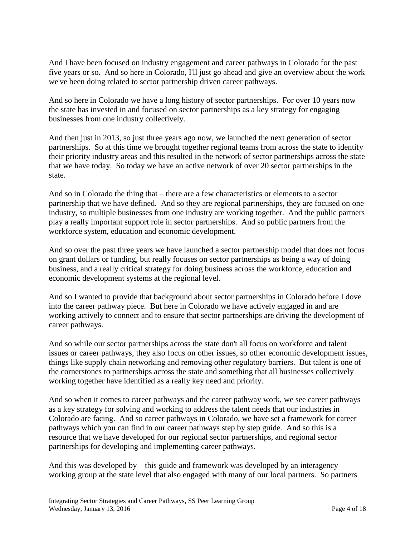And I have been focused on industry engagement and career pathways in Colorado for the past five years or so. And so here in Colorado, I'll just go ahead and give an overview about the work we've been doing related to sector partnership driven career pathways.

And so here in Colorado we have a long history of sector partnerships. For over 10 years now the state has invested in and focused on sector partnerships as a key strategy for engaging businesses from one industry collectively.

And then just in 2013, so just three years ago now, we launched the next generation of sector partnerships. So at this time we brought together regional teams from across the state to identify their priority industry areas and this resulted in the network of sector partnerships across the state that we have today. So today we have an active network of over 20 sector partnerships in the state.

And so in Colorado the thing that – there are a few characteristics or elements to a sector partnership that we have defined. And so they are regional partnerships, they are focused on one industry, so multiple businesses from one industry are working together. And the public partners play a really important support role in sector partnerships. And so public partners from the workforce system, education and economic development.

And so over the past three years we have launched a sector partnership model that does not focus on grant dollars or funding, but really focuses on sector partnerships as being a way of doing business, and a really critical strategy for doing business across the workforce, education and economic development systems at the regional level.

And so I wanted to provide that background about sector partnerships in Colorado before I dove into the career pathway piece. But here in Colorado we have actively engaged in and are working actively to connect and to ensure that sector partnerships are driving the development of career pathways.

And so while our sector partnerships across the state don't all focus on workforce and talent issues or career pathways, they also focus on other issues, so other economic development issues, things like supply chain networking and removing other regulatory barriers. But talent is one of the cornerstones to partnerships across the state and something that all businesses collectively working together have identified as a really key need and priority.

And so when it comes to career pathways and the career pathway work, we see career pathways as a key strategy for solving and working to address the talent needs that our industries in Colorado are facing. And so career pathways in Colorado, we have set a framework for career pathways which you can find in our career pathways step by step guide. And so this is a resource that we have developed for our regional sector partnerships, and regional sector partnerships for developing and implementing career pathways.

And this was developed by – this guide and framework was developed by an interagency working group at the state level that also engaged with many of our local partners. So partners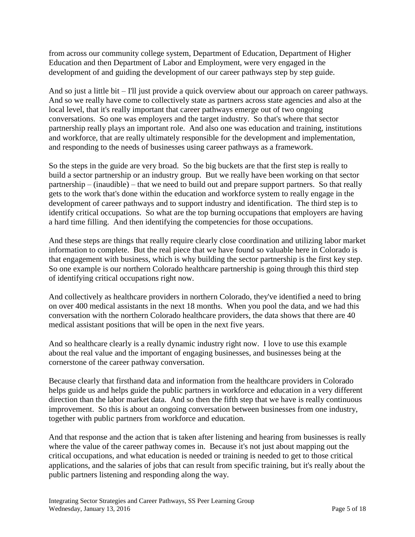from across our community college system, Department of Education, Department of Higher Education and then Department of Labor and Employment, were very engaged in the development of and guiding the development of our career pathways step by step guide.

And so just a little bit – I'll just provide a quick overview about our approach on career pathways. And so we really have come to collectively state as partners across state agencies and also at the local level, that it's really important that career pathways emerge out of two ongoing conversations. So one was employers and the target industry. So that's where that sector partnership really plays an important role. And also one was education and training, institutions and workforce, that are really ultimately responsible for the development and implementation, and responding to the needs of businesses using career pathways as a framework.

So the steps in the guide are very broad. So the big buckets are that the first step is really to build a sector partnership or an industry group. But we really have been working on that sector partnership – (inaudible) – that we need to build out and prepare support partners. So that really gets to the work that's done within the education and workforce system to really engage in the development of career pathways and to support industry and identification. The third step is to identify critical occupations. So what are the top burning occupations that employers are having a hard time filling. And then identifying the competencies for those occupations.

And these steps are things that really require clearly close coordination and utilizing labor market information to complete. But the real piece that we have found so valuable here in Colorado is that engagement with business, which is why building the sector partnership is the first key step. So one example is our northern Colorado healthcare partnership is going through this third step of identifying critical occupations right now.

And collectively as healthcare providers in northern Colorado, they've identified a need to bring on over 400 medical assistants in the next 18 months. When you pool the data, and we had this conversation with the northern Colorado healthcare providers, the data shows that there are 40 medical assistant positions that will be open in the next five years.

And so healthcare clearly is a really dynamic industry right now. I love to use this example about the real value and the important of engaging businesses, and businesses being at the cornerstone of the career pathway conversation.

Because clearly that firsthand data and information from the healthcare providers in Colorado helps guide us and helps guide the public partners in workforce and education in a very different direction than the labor market data. And so then the fifth step that we have is really continuous improvement. So this is about an ongoing conversation between businesses from one industry, together with public partners from workforce and education.

And that response and the action that is taken after listening and hearing from businesses is really where the value of the career pathway comes in. Because it's not just about mapping out the critical occupations, and what education is needed or training is needed to get to those critical applications, and the salaries of jobs that can result from specific training, but it's really about the public partners listening and responding along the way.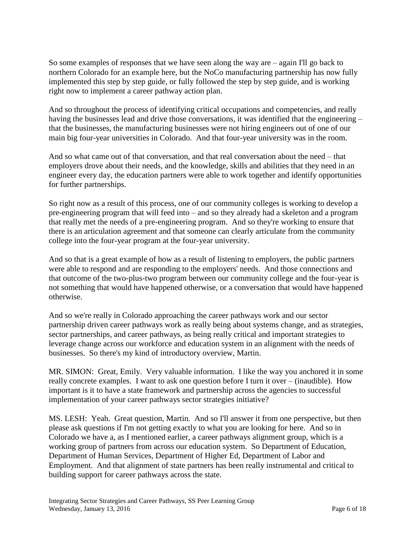So some examples of responses that we have seen along the way are – again I'll go back to northern Colorado for an example here, but the NoCo manufacturing partnership has now fully implemented this step by step guide, or fully followed the step by step guide, and is working right now to implement a career pathway action plan.

And so throughout the process of identifying critical occupations and competencies, and really having the businesses lead and drive those conversations, it was identified that the engineering – that the businesses, the manufacturing businesses were not hiring engineers out of one of our main big four-year universities in Colorado. And that four-year university was in the room.

And so what came out of that conversation, and that real conversation about the need – that employers drove about their needs, and the knowledge, skills and abilities that they need in an engineer every day, the education partners were able to work together and identify opportunities for further partnerships.

So right now as a result of this process, one of our community colleges is working to develop a pre-engineering program that will feed into – and so they already had a skeleton and a program that really met the needs of a pre-engineering program. And so they're working to ensure that there is an articulation agreement and that someone can clearly articulate from the community college into the four-year program at the four-year university.

And so that is a great example of how as a result of listening to employers, the public partners were able to respond and are responding to the employers' needs. And those connections and that outcome of the two-plus-two program between our community college and the four-year is not something that would have happened otherwise, or a conversation that would have happened otherwise.

And so we're really in Colorado approaching the career pathways work and our sector partnership driven career pathways work as really being about systems change, and as strategies, sector partnerships, and career pathways, as being really critical and important strategies to leverage change across our workforce and education system in an alignment with the needs of businesses. So there's my kind of introductory overview, Martin.

MR. SIMON: Great, Emily. Very valuable information. I like the way you anchored it in some really concrete examples. I want to ask one question before I turn it over – (inaudible). How important is it to have a state framework and partnership across the agencies to successful implementation of your career pathways sector strategies initiative?

MS. LESH: Yeah. Great question, Martin. And so I'll answer it from one perspective, but then please ask questions if I'm not getting exactly to what you are looking for here. And so in Colorado we have a, as I mentioned earlier, a career pathways alignment group, which is a working group of partners from across our education system. So Department of Education, Department of Human Services, Department of Higher Ed, Department of Labor and Employment. And that alignment of state partners has been really instrumental and critical to building support for career pathways across the state.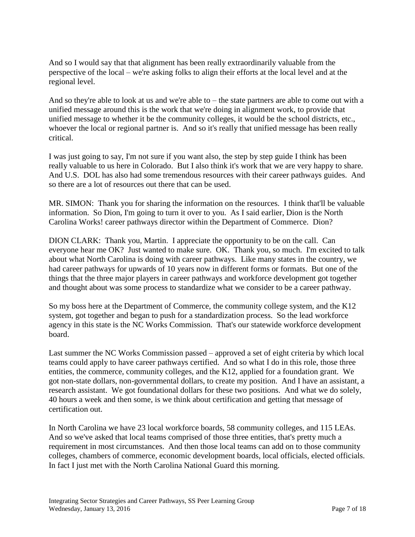And so I would say that that alignment has been really extraordinarily valuable from the perspective of the local – we're asking folks to align their efforts at the local level and at the regional level.

And so they're able to look at us and we're able to – the state partners are able to come out with a unified message around this is the work that we're doing in alignment work, to provide that unified message to whether it be the community colleges, it would be the school districts, etc., whoever the local or regional partner is. And so it's really that unified message has been really critical.

I was just going to say, I'm not sure if you want also, the step by step guide I think has been really valuable to us here in Colorado. But I also think it's work that we are very happy to share. And U.S. DOL has also had some tremendous resources with their career pathways guides. And so there are a lot of resources out there that can be used.

MR. SIMON: Thank you for sharing the information on the resources. I think that'll be valuable information. So Dion, I'm going to turn it over to you. As I said earlier, Dion is the North Carolina Works! career pathways director within the Department of Commerce. Dion?

DION CLARK: Thank you, Martin. I appreciate the opportunity to be on the call. Can everyone hear me OK? Just wanted to make sure. OK. Thank you, so much. I'm excited to talk about what North Carolina is doing with career pathways. Like many states in the country, we had career pathways for upwards of 10 years now in different forms or formats. But one of the things that the three major players in career pathways and workforce development got together and thought about was some process to standardize what we consider to be a career pathway.

So my boss here at the Department of Commerce, the community college system, and the K12 system, got together and began to push for a standardization process. So the lead workforce agency in this state is the NC Works Commission. That's our statewide workforce development board.

Last summer the NC Works Commission passed – approved a set of eight criteria by which local teams could apply to have career pathways certified. And so what I do in this role, those three entities, the commerce, community colleges, and the K12, applied for a foundation grant. We got non-state dollars, non-governmental dollars, to create my position. And I have an assistant, a research assistant. We got foundational dollars for these two positions. And what we do solely, 40 hours a week and then some, is we think about certification and getting that message of certification out.

In North Carolina we have 23 local workforce boards, 58 community colleges, and 115 LEAs. And so we've asked that local teams comprised of those three entities, that's pretty much a requirement in most circumstances. And then those local teams can add on to those community colleges, chambers of commerce, economic development boards, local officials, elected officials. In fact I just met with the North Carolina National Guard this morning.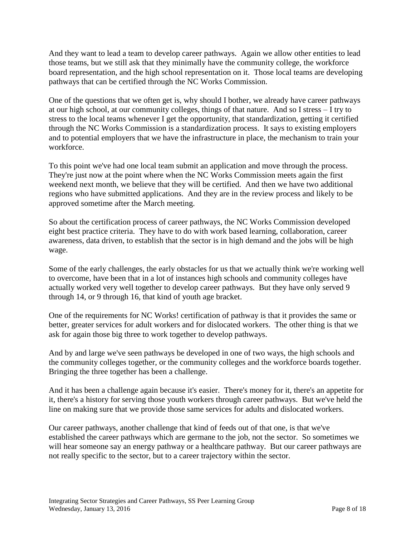And they want to lead a team to develop career pathways. Again we allow other entities to lead those teams, but we still ask that they minimally have the community college, the workforce board representation, and the high school representation on it. Those local teams are developing pathways that can be certified through the NC Works Commission.

One of the questions that we often get is, why should I bother, we already have career pathways at our high school, at our community colleges, things of that nature. And so I stress – I try to stress to the local teams whenever I get the opportunity, that standardization, getting it certified through the NC Works Commission is a standardization process. It says to existing employers and to potential employers that we have the infrastructure in place, the mechanism to train your workforce.

To this point we've had one local team submit an application and move through the process. They're just now at the point where when the NC Works Commission meets again the first weekend next month, we believe that they will be certified. And then we have two additional regions who have submitted applications. And they are in the review process and likely to be approved sometime after the March meeting.

So about the certification process of career pathways, the NC Works Commission developed eight best practice criteria. They have to do with work based learning, collaboration, career awareness, data driven, to establish that the sector is in high demand and the jobs will be high wage.

Some of the early challenges, the early obstacles for us that we actually think we're working well to overcome, have been that in a lot of instances high schools and community colleges have actually worked very well together to develop career pathways. But they have only served 9 through 14, or 9 through 16, that kind of youth age bracket.

One of the requirements for NC Works! certification of pathway is that it provides the same or better, greater services for adult workers and for dislocated workers. The other thing is that we ask for again those big three to work together to develop pathways.

And by and large we've seen pathways be developed in one of two ways, the high schools and the community colleges together, or the community colleges and the workforce boards together. Bringing the three together has been a challenge.

And it has been a challenge again because it's easier. There's money for it, there's an appetite for it, there's a history for serving those youth workers through career pathways. But we've held the line on making sure that we provide those same services for adults and dislocated workers.

Our career pathways, another challenge that kind of feeds out of that one, is that we've established the career pathways which are germane to the job, not the sector. So sometimes we will hear someone say an energy pathway or a healthcare pathway. But our career pathways are not really specific to the sector, but to a career trajectory within the sector.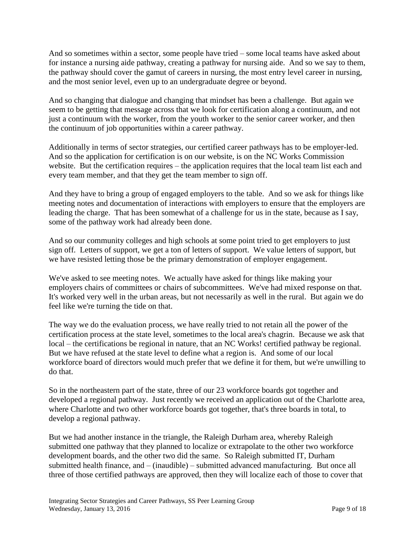And so sometimes within a sector, some people have tried – some local teams have asked about for instance a nursing aide pathway, creating a pathway for nursing aide. And so we say to them, the pathway should cover the gamut of careers in nursing, the most entry level career in nursing, and the most senior level, even up to an undergraduate degree or beyond.

And so changing that dialogue and changing that mindset has been a challenge. But again we seem to be getting that message across that we look for certification along a continuum, and not just a continuum with the worker, from the youth worker to the senior career worker, and then the continuum of job opportunities within a career pathway.

Additionally in terms of sector strategies, our certified career pathways has to be employer-led. And so the application for certification is on our website, is on the NC Works Commission website. But the certification requires – the application requires that the local team list each and every team member, and that they get the team member to sign off.

And they have to bring a group of engaged employers to the table. And so we ask for things like meeting notes and documentation of interactions with employers to ensure that the employers are leading the charge. That has been somewhat of a challenge for us in the state, because as I say, some of the pathway work had already been done.

And so our community colleges and high schools at some point tried to get employers to just sign off. Letters of support, we get a ton of letters of support. We value letters of support, but we have resisted letting those be the primary demonstration of employer engagement.

We've asked to see meeting notes. We actually have asked for things like making your employers chairs of committees or chairs of subcommittees. We've had mixed response on that. It's worked very well in the urban areas, but not necessarily as well in the rural. But again we do feel like we're turning the tide on that.

The way we do the evaluation process, we have really tried to not retain all the power of the certification process at the state level, sometimes to the local area's chagrin. Because we ask that local – the certifications be regional in nature, that an NC Works! certified pathway be regional. But we have refused at the state level to define what a region is. And some of our local workforce board of directors would much prefer that we define it for them, but we're unwilling to do that.

So in the northeastern part of the state, three of our 23 workforce boards got together and developed a regional pathway. Just recently we received an application out of the Charlotte area, where Charlotte and two other workforce boards got together, that's three boards in total, to develop a regional pathway.

But we had another instance in the triangle, the Raleigh Durham area, whereby Raleigh submitted one pathway that they planned to localize or extrapolate to the other two workforce development boards, and the other two did the same. So Raleigh submitted IT, Durham submitted health finance, and – (inaudible) – submitted advanced manufacturing. But once all three of those certified pathways are approved, then they will localize each of those to cover that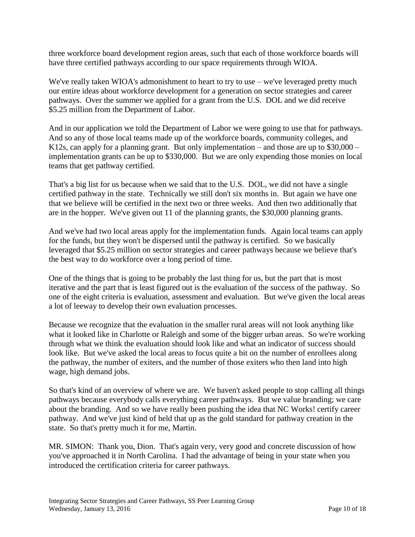three workforce board development region areas, such that each of those workforce boards will have three certified pathways according to our space requirements through WIOA.

We've really taken WIOA's admonishment to heart to try to use – we've leveraged pretty much our entire ideas about workforce development for a generation on sector strategies and career pathways. Over the summer we applied for a grant from the U.S. DOL and we did receive \$5.25 million from the Department of Labor.

And in our application we told the Department of Labor we were going to use that for pathways. And so any of those local teams made up of the workforce boards, community colleges, and K12s, can apply for a planning grant. But only implementation – and those are up to  $$30,000$  – implementation grants can be up to \$330,000. But we are only expending those monies on local teams that get pathway certified.

That's a big list for us because when we said that to the U.S. DOL, we did not have a single certified pathway in the state. Technically we still don't six months in. But again we have one that we believe will be certified in the next two or three weeks. And then two additionally that are in the hopper. We've given out 11 of the planning grants, the \$30,000 planning grants.

And we've had two local areas apply for the implementation funds. Again local teams can apply for the funds, but they won't be dispersed until the pathway is certified. So we basically leveraged that \$5.25 million on sector strategies and career pathways because we believe that's the best way to do workforce over a long period of time.

One of the things that is going to be probably the last thing for us, but the part that is most iterative and the part that is least figured out is the evaluation of the success of the pathway. So one of the eight criteria is evaluation, assessment and evaluation. But we've given the local areas a lot of leeway to develop their own evaluation processes.

Because we recognize that the evaluation in the smaller rural areas will not look anything like what it looked like in Charlotte or Raleigh and some of the bigger urban areas. So we're working through what we think the evaluation should look like and what an indicator of success should look like. But we've asked the local areas to focus quite a bit on the number of enrollees along the pathway, the number of exiters, and the number of those exiters who then land into high wage, high demand jobs.

So that's kind of an overview of where we are. We haven't asked people to stop calling all things pathways because everybody calls everything career pathways. But we value branding; we care about the branding. And so we have really been pushing the idea that NC Works! certify career pathway. And we've just kind of held that up as the gold standard for pathway creation in the state. So that's pretty much it for me, Martin.

MR. SIMON: Thank you, Dion. That's again very, very good and concrete discussion of how you've approached it in North Carolina. I had the advantage of being in your state when you introduced the certification criteria for career pathways.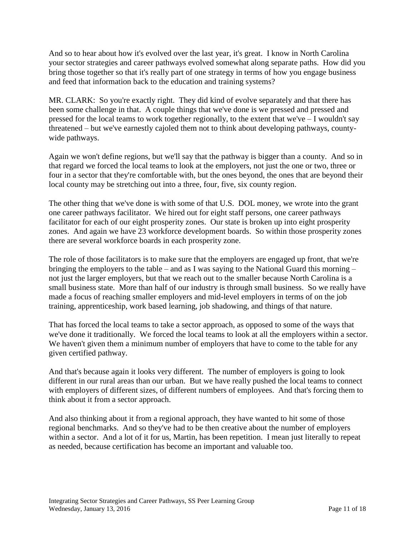And so to hear about how it's evolved over the last year, it's great. I know in North Carolina your sector strategies and career pathways evolved somewhat along separate paths. How did you bring those together so that it's really part of one strategy in terms of how you engage business and feed that information back to the education and training systems?

MR. CLARK: So you're exactly right. They did kind of evolve separately and that there has been some challenge in that. A couple things that we've done is we pressed and pressed and pressed for the local teams to work together regionally, to the extent that we've – I wouldn't say threatened – but we've earnestly cajoled them not to think about developing pathways, countywide pathways.

Again we won't define regions, but we'll say that the pathway is bigger than a county. And so in that regard we forced the local teams to look at the employers, not just the one or two, three or four in a sector that they're comfortable with, but the ones beyond, the ones that are beyond their local county may be stretching out into a three, four, five, six county region.

The other thing that we've done is with some of that U.S. DOL money, we wrote into the grant one career pathways facilitator. We hired out for eight staff persons, one career pathways facilitator for each of our eight prosperity zones. Our state is broken up into eight prosperity zones. And again we have 23 workforce development boards. So within those prosperity zones there are several workforce boards in each prosperity zone.

The role of those facilitators is to make sure that the employers are engaged up front, that we're bringing the employers to the table – and as I was saying to the National Guard this morning – not just the larger employers, but that we reach out to the smaller because North Carolina is a small business state. More than half of our industry is through small business. So we really have made a focus of reaching smaller employers and mid-level employers in terms of on the job training, apprenticeship, work based learning, job shadowing, and things of that nature.

That has forced the local teams to take a sector approach, as opposed to some of the ways that we've done it traditionally. We forced the local teams to look at all the employers within a sector. We haven't given them a minimum number of employers that have to come to the table for any given certified pathway.

And that's because again it looks very different. The number of employers is going to look different in our rural areas than our urban. But we have really pushed the local teams to connect with employers of different sizes, of different numbers of employees. And that's forcing them to think about it from a sector approach.

And also thinking about it from a regional approach, they have wanted to hit some of those regional benchmarks. And so they've had to be then creative about the number of employers within a sector. And a lot of it for us, Martin, has been repetition. I mean just literally to repeat as needed, because certification has become an important and valuable too.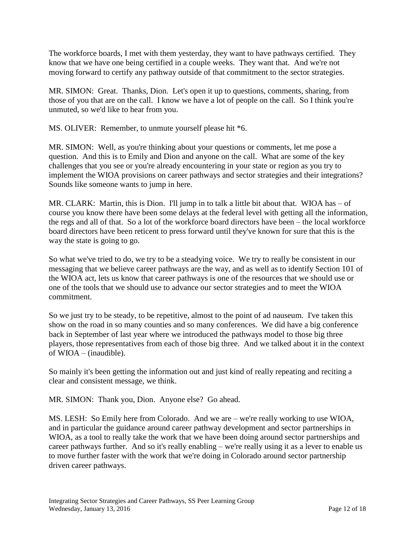The workforce boards, I met with them yesterday, they want to have pathways certified. They know that we have one being certified in a couple weeks. They want that. And we're not moving forward to certify any pathway outside of that commitment to the sector strategies.

MR. SIMON: Great. Thanks, Dion. Let's open it up to questions, comments, sharing, from those of you that are on the call. I know we have a lot of people on the call. So I think you're unmuted, so we'd like to hear from you.

MS. OLIVER: Remember, to unmute yourself please hit \*6.

MR. SIMON: Well, as you're thinking about your questions or comments, let me pose a question. And this is to Emily and Dion and anyone on the call. What are some of the key challenges that you see or you're already encountering in your state or region as you try to implement the WIOA provisions on career pathways and sector strategies and their integrations? Sounds like someone wants to jump in here.

MR. CLARK: Martin, this is Dion. I'll jump in to talk a little bit about that. WIOA has  $-$  of course you know there have been some delays at the federal level with getting all the information, the regs and all of that. So a lot of the workforce board directors have been – the local workforce board directors have been reticent to press forward until they've known for sure that this is the way the state is going to go.

So what we've tried to do, we try to be a steadying voice. We try to really be consistent in our messaging that we believe career pathways are the way, and as well as to identify Section 101 of the WIOA act, lets us know that career pathways is one of the resources that we should use or one of the tools that we should use to advance our sector strategies and to meet the WIOA commitment.

So we just try to be steady, to be repetitive, almost to the point of ad nauseum. I've taken this show on the road in so many counties and so many conferences. We did have a big conference back in September of last year where we introduced the pathways model to those big three players, those representatives from each of those big three. And we talked about it in the context of WIOA – (inaudible).

So mainly it's been getting the information out and just kind of really repeating and reciting a clear and consistent message, we think.

MR. SIMON: Thank you, Dion. Anyone else? Go ahead.

MS. LESH: So Emily here from Colorado. And we are – we're really working to use WIOA, and in particular the guidance around career pathway development and sector partnerships in WIOA, as a tool to really take the work that we have been doing around sector partnerships and career pathways further. And so it's really enabling – we're really using it as a lever to enable us to move further faster with the work that we're doing in Colorado around sector partnership driven career pathways.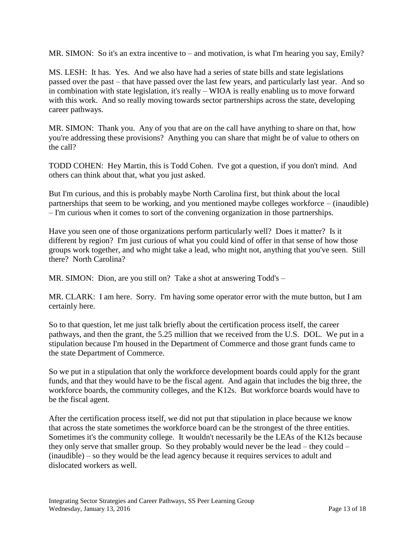MR. SIMON: So it's an extra incentive to – and motivation, is what I'm hearing you say, Emily?

MS. LESH: It has. Yes. And we also have had a series of state bills and state legislations passed over the past – that have passed over the last few years, and particularly last year. And so in combination with state legislation, it's really – WIOA is really enabling us to move forward with this work. And so really moving towards sector partnerships across the state, developing career pathways.

MR. SIMON: Thank you. Any of you that are on the call have anything to share on that, how you're addressing these provisions? Anything you can share that might be of value to others on the call?

TODD COHEN: Hey Martin, this is Todd Cohen. I've got a question, if you don't mind. And others can think about that, what you just asked.

But I'm curious, and this is probably maybe North Carolina first, but think about the local partnerships that seem to be working, and you mentioned maybe colleges workforce – (inaudible) – I'm curious when it comes to sort of the convening organization in those partnerships.

Have you seen one of those organizations perform particularly well? Does it matter? Is it different by region? I'm just curious of what you could kind of offer in that sense of how those groups work together, and who might take a lead, who might not, anything that you've seen. Still there? North Carolina?

MR. SIMON: Dion, are you still on? Take a shot at answering Todd's –

MR. CLARK: I am here. Sorry. I'm having some operator error with the mute button, but I am certainly here.

So to that question, let me just talk briefly about the certification process itself, the career pathways, and then the grant, the 5.25 million that we received from the U.S. DOL. We put in a stipulation because I'm housed in the Department of Commerce and those grant funds came to the state Department of Commerce.

So we put in a stipulation that only the workforce development boards could apply for the grant funds, and that they would have to be the fiscal agent. And again that includes the big three, the workforce boards, the community colleges, and the K12s. But workforce boards would have to be the fiscal agent.

After the certification process itself, we did not put that stipulation in place because we know that across the state sometimes the workforce board can be the strongest of the three entities. Sometimes it's the community college. It wouldn't necessarily be the LEAs of the K12s because they only serve that smaller group. So they probably would never be the lead – they could – (inaudible) – so they would be the lead agency because it requires services to adult and dislocated workers as well.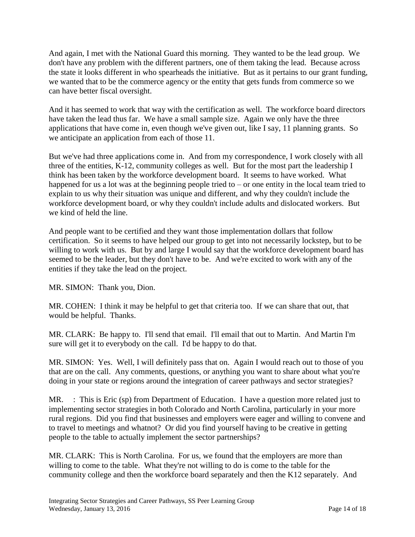And again, I met with the National Guard this morning. They wanted to be the lead group. We don't have any problem with the different partners, one of them taking the lead. Because across the state it looks different in who spearheads the initiative. But as it pertains to our grant funding, we wanted that to be the commerce agency or the entity that gets funds from commerce so we can have better fiscal oversight.

And it has seemed to work that way with the certification as well. The workforce board directors have taken the lead thus far. We have a small sample size. Again we only have the three applications that have come in, even though we've given out, like I say, 11 planning grants. So we anticipate an application from each of those 11.

But we've had three applications come in. And from my correspondence, I work closely with all three of the entities, K-12, community colleges as well. But for the most part the leadership I think has been taken by the workforce development board. It seems to have worked. What happened for us a lot was at the beginning people tried to – or one entity in the local team tried to explain to us why their situation was unique and different, and why they couldn't include the workforce development board, or why they couldn't include adults and dislocated workers. But we kind of held the line.

And people want to be certified and they want those implementation dollars that follow certification. So it seems to have helped our group to get into not necessarily lockstep, but to be willing to work with us. But by and large I would say that the workforce development board has seemed to be the leader, but they don't have to be. And we're excited to work with any of the entities if they take the lead on the project.

MR. SIMON: Thank you, Dion.

MR. COHEN: I think it may be helpful to get that criteria too. If we can share that out, that would be helpful. Thanks.

MR. CLARK: Be happy to. I'll send that email. I'll email that out to Martin. And Martin I'm sure will get it to everybody on the call. I'd be happy to do that.

MR. SIMON: Yes. Well, I will definitely pass that on. Again I would reach out to those of you that are on the call. Any comments, questions, or anything you want to share about what you're doing in your state or regions around the integration of career pathways and sector strategies?

MR. : This is Eric (sp) from Department of Education. I have a question more related just to implementing sector strategies in both Colorado and North Carolina, particularly in your more rural regions. Did you find that businesses and employers were eager and willing to convene and to travel to meetings and whatnot? Or did you find yourself having to be creative in getting people to the table to actually implement the sector partnerships?

MR. CLARK: This is North Carolina. For us, we found that the employers are more than willing to come to the table. What they're not willing to do is come to the table for the community college and then the workforce board separately and then the K12 separately. And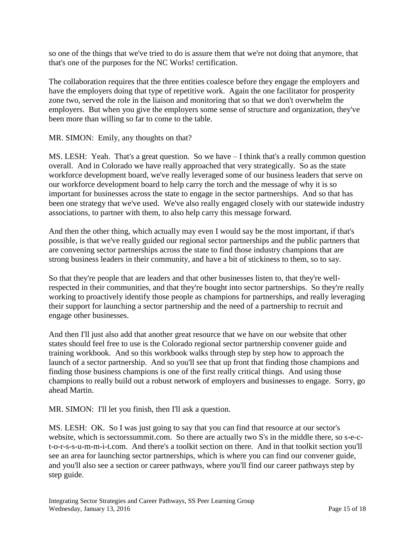so one of the things that we've tried to do is assure them that we're not doing that anymore, that that's one of the purposes for the NC Works! certification.

The collaboration requires that the three entities coalesce before they engage the employers and have the employers doing that type of repetitive work. Again the one facilitator for prosperity zone two, served the role in the liaison and monitoring that so that we don't overwhelm the employers. But when you give the employers some sense of structure and organization, they've been more than willing so far to come to the table.

## MR. SIMON: Emily, any thoughts on that?

MS. LESH: Yeah. That's a great question. So we have – I think that's a really common question overall. And in Colorado we have really approached that very strategically. So as the state workforce development board, we've really leveraged some of our business leaders that serve on our workforce development board to help carry the torch and the message of why it is so important for businesses across the state to engage in the sector partnerships. And so that has been one strategy that we've used. We've also really engaged closely with our statewide industry associations, to partner with them, to also help carry this message forward.

And then the other thing, which actually may even I would say be the most important, if that's possible, is that we've really guided our regional sector partnerships and the public partners that are convening sector partnerships across the state to find those industry champions that are strong business leaders in their community, and have a bit of stickiness to them, so to say.

So that they're people that are leaders and that other businesses listen to, that they're wellrespected in their communities, and that they're bought into sector partnerships. So they're really working to proactively identify those people as champions for partnerships, and really leveraging their support for launching a sector partnership and the need of a partnership to recruit and engage other businesses.

And then I'll just also add that another great resource that we have on our website that other states should feel free to use is the Colorado regional sector partnership convener guide and training workbook. And so this workbook walks through step by step how to approach the launch of a sector partnership. And so you'll see that up front that finding those champions and finding those business champions is one of the first really critical things. And using those champions to really build out a robust network of employers and businesses to engage. Sorry, go ahead Martin.

MR. SIMON: I'll let you finish, then I'll ask a question.

MS. LESH: OK. So I was just going to say that you can find that resource at our sector's website, which is sectorssummit.com. So there are actually two S's in the middle there, so s-e-ct-o-r-s-s-u-m-m-i-t.com. And there's a toolkit section on there. And in that toolkit section you'll see an area for launching sector partnerships, which is where you can find our convener guide, and you'll also see a section or career pathways, where you'll find our career pathways step by step guide.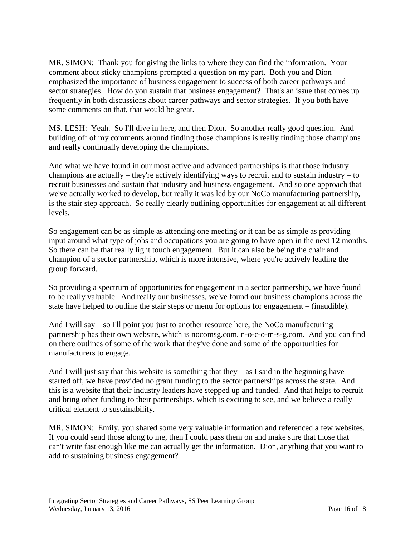MR. SIMON: Thank you for giving the links to where they can find the information. Your comment about sticky champions prompted a question on my part. Both you and Dion emphasized the importance of business engagement to success of both career pathways and sector strategies. How do you sustain that business engagement? That's an issue that comes up frequently in both discussions about career pathways and sector strategies. If you both have some comments on that, that would be great.

MS. LESH: Yeah. So I'll dive in here, and then Dion. So another really good question. And building off of my comments around finding those champions is really finding those champions and really continually developing the champions.

And what we have found in our most active and advanced partnerships is that those industry champions are actually – they're actively identifying ways to recruit and to sustain industry – to recruit businesses and sustain that industry and business engagement. And so one approach that we've actually worked to develop, but really it was led by our NoCo manufacturing partnership, is the stair step approach. So really clearly outlining opportunities for engagement at all different levels.

So engagement can be as simple as attending one meeting or it can be as simple as providing input around what type of jobs and occupations you are going to have open in the next 12 months. So there can be that really light touch engagement. But it can also be being the chair and champion of a sector partnership, which is more intensive, where you're actively leading the group forward.

So providing a spectrum of opportunities for engagement in a sector partnership, we have found to be really valuable. And really our businesses, we've found our business champions across the state have helped to outline the stair steps or menu for options for engagement – (inaudible).

And I will say – so I'll point you just to another resource here, the NoCo manufacturing partnership has their own website, which is nocomsg.com, n-o-c-o-m-s-g.com. And you can find on there outlines of some of the work that they've done and some of the opportunities for manufacturers to engage.

And I will just say that this website is something that they  $-$  as I said in the beginning have started off, we have provided no grant funding to the sector partnerships across the state. And this is a website that their industry leaders have stepped up and funded. And that helps to recruit and bring other funding to their partnerships, which is exciting to see, and we believe a really critical element to sustainability.

MR. SIMON: Emily, you shared some very valuable information and referenced a few websites. If you could send those along to me, then I could pass them on and make sure that those that can't write fast enough like me can actually get the information. Dion, anything that you want to add to sustaining business engagement?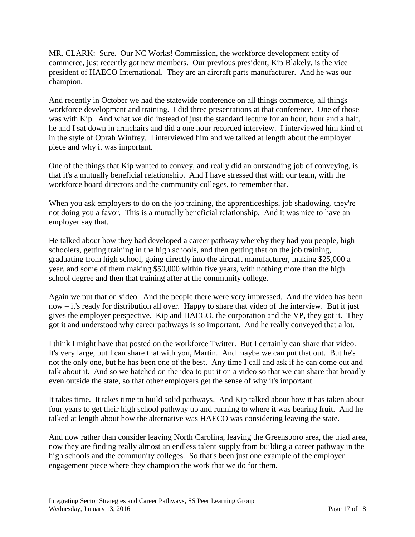MR. CLARK: Sure. Our NC Works! Commission, the workforce development entity of commerce, just recently got new members. Our previous president, Kip Blakely, is the vice president of HAECO International. They are an aircraft parts manufacturer. And he was our champion.

And recently in October we had the statewide conference on all things commerce, all things workforce development and training. I did three presentations at that conference. One of those was with Kip. And what we did instead of just the standard lecture for an hour, hour and a half, he and I sat down in armchairs and did a one hour recorded interview. I interviewed him kind of in the style of Oprah Winfrey. I interviewed him and we talked at length about the employer piece and why it was important.

One of the things that Kip wanted to convey, and really did an outstanding job of conveying, is that it's a mutually beneficial relationship. And I have stressed that with our team, with the workforce board directors and the community colleges, to remember that.

When you ask employers to do on the job training, the apprenticeships, job shadowing, they're not doing you a favor. This is a mutually beneficial relationship. And it was nice to have an employer say that.

He talked about how they had developed a career pathway whereby they had you people, high schoolers, getting training in the high schools, and then getting that on the job training, graduating from high school, going directly into the aircraft manufacturer, making \$25,000 a year, and some of them making \$50,000 within five years, with nothing more than the high school degree and then that training after at the community college.

Again we put that on video. And the people there were very impressed. And the video has been now – it's ready for distribution all over. Happy to share that video of the interview. But it just gives the employer perspective. Kip and HAECO, the corporation and the VP, they got it. They got it and understood why career pathways is so important. And he really conveyed that a lot.

I think I might have that posted on the workforce Twitter. But I certainly can share that video. It's very large, but I can share that with you, Martin. And maybe we can put that out. But he's not the only one, but he has been one of the best. Any time I call and ask if he can come out and talk about it. And so we hatched on the idea to put it on a video so that we can share that broadly even outside the state, so that other employers get the sense of why it's important.

It takes time. It takes time to build solid pathways. And Kip talked about how it has taken about four years to get their high school pathway up and running to where it was bearing fruit. And he talked at length about how the alternative was HAECO was considering leaving the state.

And now rather than consider leaving North Carolina, leaving the Greensboro area, the triad area, now they are finding really almost an endless talent supply from building a career pathway in the high schools and the community colleges. So that's been just one example of the employer engagement piece where they champion the work that we do for them.